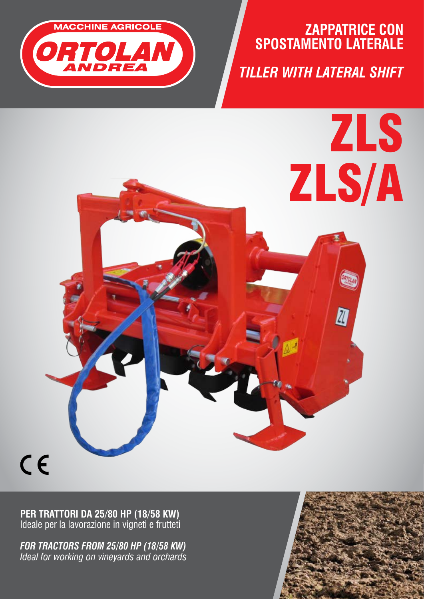

# **ZAPPATRICE CON SPOSTAMENTO LATERALE**

*TILLER WITH LATERAL SHIFT* 

ZLS

ZLS/A

 $\bar{\mathbb{Z}}$ 

 $C \in$ 

**PER TRATTORI DA 25/80 HP (18/58 KW)** Ideale per la lavorazione in vigneti e frutteti

*FOR TRACTORS FROM 25/80 HP (18/58 KW) Ideal for working on vineyards and orchards*